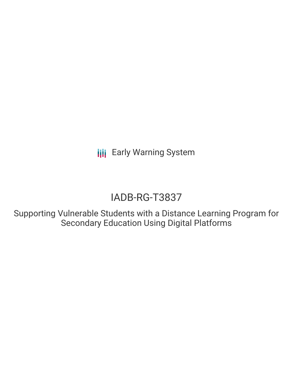**III** Early Warning System

# IADB-RG-T3837

Supporting Vulnerable Students with a Distance Learning Program for Secondary Education Using Digital Platforms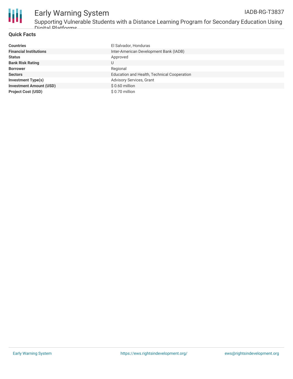

## Early Warning System

Supporting Vulnerable Students with a Distance Learning Program for Secondary Education Using Digital Platforms

### **Quick Facts**

| <b>Countries</b>               | El Salvador, Honduras                       |
|--------------------------------|---------------------------------------------|
| <b>Financial Institutions</b>  | Inter-American Development Bank (IADB)      |
| <b>Status</b>                  | Approved                                    |
| <b>Bank Risk Rating</b>        | U                                           |
| <b>Borrower</b>                | Regional                                    |
| <b>Sectors</b>                 | Education and Health, Technical Cooperation |
| <b>Investment Type(s)</b>      | Advisory Services, Grant                    |
| <b>Investment Amount (USD)</b> | $$0.60$ million                             |
| <b>Project Cost (USD)</b>      | \$0.70 million                              |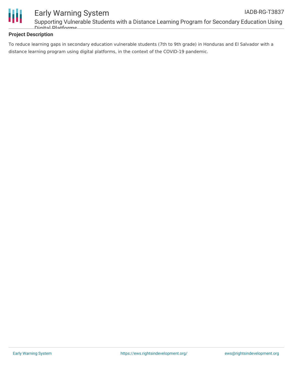

### **Project Description**

Digital Platforms

To reduce learning gaps in secondary education vulnerable students (7th to 9th grade) in Honduras and El Salvador with a distance learning program using digital platforms, in the context of the COVID-19 pandemic.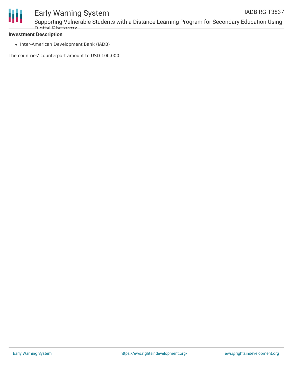

### Early Warning System

Supporting Vulnerable Students with a Distance Learning Program for Secondary Education Using Digital Platforms

### **Investment Description**

• Inter-American Development Bank (IADB)

The countries' counterpart amount to USD 100,000.